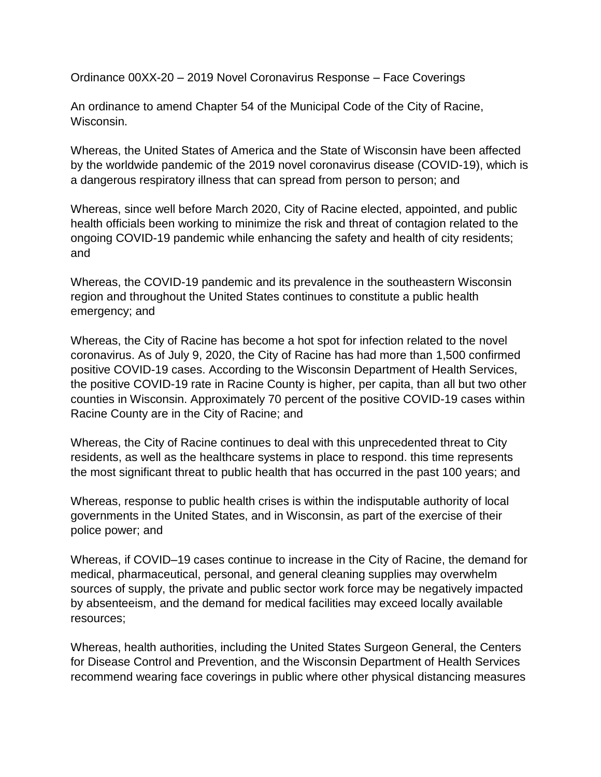Ordinance 00XX-20 – 2019 Novel Coronavirus Response – Face Coverings

An ordinance to amend Chapter 54 of the Municipal Code of the City of Racine, Wisconsin.

Whereas, the United States of America and the State of Wisconsin have been affected by the worldwide pandemic of the 2019 novel coronavirus disease (COVID-19), which is a dangerous respiratory illness that can spread from person to person; and

Whereas, since well before March 2020, City of Racine elected, appointed, and public health officials been working to minimize the risk and threat of contagion related to the ongoing COVID-19 pandemic while enhancing the safety and health of city residents; and

Whereas, the COVID-19 pandemic and its prevalence in the southeastern Wisconsin region and throughout the United States continues to constitute a public health emergency; and

Whereas, the City of Racine has become a hot spot for infection related to the novel coronavirus. As of July 9, 2020, the City of Racine has had more than 1,500 confirmed positive COVID-19 cases. According to the Wisconsin Department of Health Services, the positive COVID-19 rate in Racine County is higher, per capita, than all but two other counties in Wisconsin. Approximately 70 percent of the positive COVID-19 cases within Racine County are in the City of Racine; and

Whereas, the City of Racine continues to deal with this unprecedented threat to City residents, as well as the healthcare systems in place to respond. this time represents the most significant threat to public health that has occurred in the past 100 years; and

Whereas, response to public health crises is within the indisputable authority of local governments in the United States, and in Wisconsin, as part of the exercise of their police power; and

Whereas, if COVID–19 cases continue to increase in the City of Racine, the demand for medical, pharmaceutical, personal, and general cleaning supplies may overwhelm sources of supply, the private and public sector work force may be negatively impacted by absenteeism, and the demand for medical facilities may exceed locally available resources;

Whereas, health authorities, including the United States Surgeon General, the Centers for Disease Control and Prevention, and the Wisconsin Department of Health Services recommend wearing face coverings in public where other physical distancing measures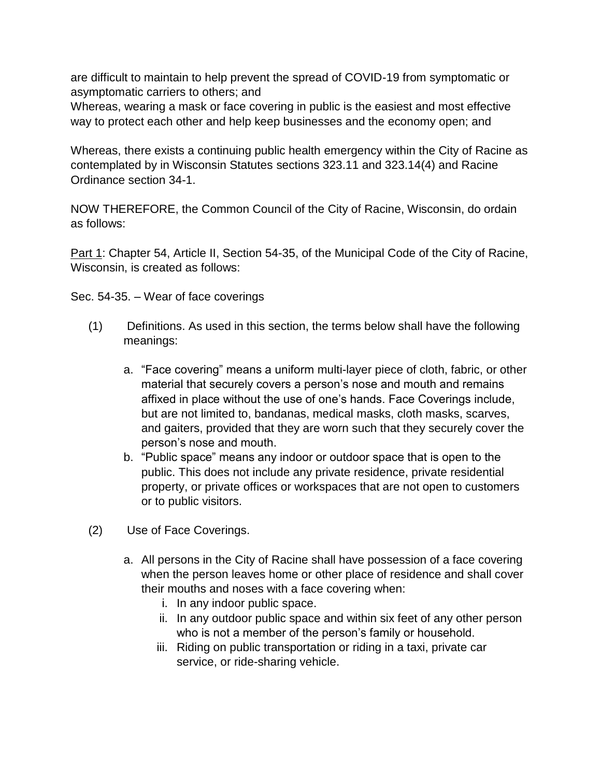are difficult to maintain to help prevent the spread of COVID-19 from symptomatic or asymptomatic carriers to others; and

Whereas, wearing a mask or face covering in public is the easiest and most effective way to protect each other and help keep businesses and the economy open; and

Whereas, there exists a continuing public health emergency within the City of Racine as contemplated by in Wisconsin Statutes sections 323.11 and 323.14(4) and Racine Ordinance section 34-1.

NOW THEREFORE, the Common Council of the City of Racine, Wisconsin, do ordain as follows:

Part 1: Chapter 54, Article II, Section 54-35, of the Municipal Code of the City of Racine, Wisconsin, is created as follows:

Sec. 54-35. – Wear of face coverings

- (1) Definitions. As used in this section, the terms below shall have the following meanings:
	- a. "Face covering" means a uniform multi-layer piece of cloth, fabric, or other material that securely covers a person's nose and mouth and remains affixed in place without the use of one's hands. Face Coverings include, but are not limited to, bandanas, medical masks, cloth masks, scarves, and gaiters, provided that they are worn such that they securely cover the person's nose and mouth.
	- b. "Public space" means any indoor or outdoor space that is open to the public. This does not include any private residence, private residential property, or private offices or workspaces that are not open to customers or to public visitors.
- (2) Use of Face Coverings.
	- a. All persons in the City of Racine shall have possession of a face covering when the person leaves home or other place of residence and shall cover their mouths and noses with a face covering when:
		- i. In any indoor public space.
		- ii. In any outdoor public space and within six feet of any other person who is not a member of the person's family or household.
		- iii. Riding on public transportation or riding in a taxi, private car service, or ride-sharing vehicle.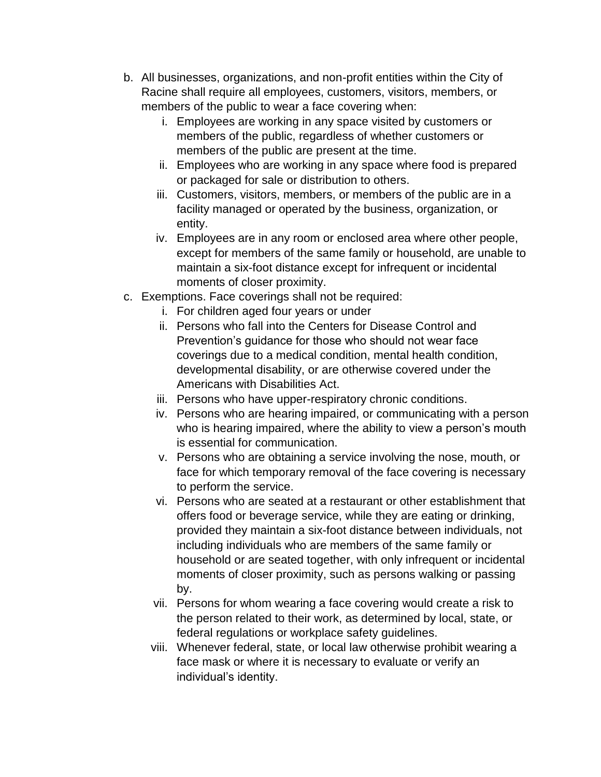- b. All businesses, organizations, and non-profit entities within the City of Racine shall require all employees, customers, visitors, members, or members of the public to wear a face covering when:
	- i. Employees are working in any space visited by customers or members of the public, regardless of whether customers or members of the public are present at the time.
	- ii. Employees who are working in any space where food is prepared or packaged for sale or distribution to others.
	- iii. Customers, visitors, members, or members of the public are in a facility managed or operated by the business, organization, or entity.
	- iv. Employees are in any room or enclosed area where other people, except for members of the same family or household, are unable to maintain a six-foot distance except for infrequent or incidental moments of closer proximity.
- c. Exemptions. Face coverings shall not be required:
	- i. For children aged four years or under
	- ii. Persons who fall into the Centers for Disease Control and Prevention's guidance for those who should not wear face coverings due to a medical condition, mental health condition, developmental disability, or are otherwise covered under the Americans with Disabilities Act.
	- iii. Persons who have upper-respiratory chronic conditions.
	- iv. Persons who are hearing impaired, or communicating with a person who is hearing impaired, where the ability to view a person's mouth is essential for communication.
	- v. Persons who are obtaining a service involving the nose, mouth, or face for which temporary removal of the face covering is necessary to perform the service.
	- vi. Persons who are seated at a restaurant or other establishment that offers food or beverage service, while they are eating or drinking, provided they maintain a six-foot distance between individuals, not including individuals who are members of the same family or household or are seated together, with only infrequent or incidental moments of closer proximity, such as persons walking or passing by.
	- vii. Persons for whom wearing a face covering would create a risk to the person related to their work, as determined by local, state, or federal regulations or workplace safety guidelines.
	- viii. Whenever federal, state, or local law otherwise prohibit wearing a face mask or where it is necessary to evaluate or verify an individual's identity.